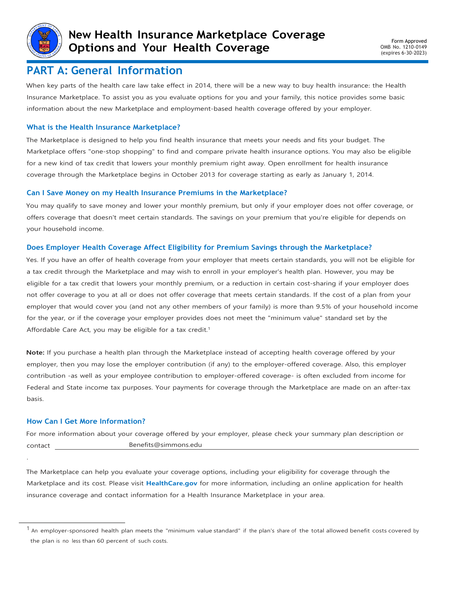

## **PART A: General Information**

When key parts of the health care law take effect in 2014, there will be a new way to buy health insurance: the Health Insurance Marketplace. To assist you as you evaluate options for you and your family, this notice provides some basic information about the new Marketplace and employment-based health coverage offered by your employer.

### **What is the Health Insurance Marketplace?**

The Marketplace is designed to help you find health insurance that meets your needs and fits your budget. The Marketplace offers "one-stop shopping" to find and compare private health insurance options. You may also be eligible for a new kind of tax credit that lowers your monthly premium right away. Open enrollment for health insurance coverage through the Marketplace begins in October 2013 for coverage starting as early as January 1, 2014.

#### **Can I Save Money on my Health Insurance Premiums in the Marketplace?**

You may qualify to save money and lower your monthly premium, but only if your employer does not offer coverage, or offers coverage that doesn't meet certain standards. The savings on your premium that you're eligible for depends on your household income.

#### **Does Employer Health Coverage Affect Eligibility for Premium Savings through the Marketplace?**

Yes. If you have an offer of health coverage from your employer that meets certain standards, you will not be eligible for a tax credit through the Marketplace and may wish to enroll in your employer's health plan. However, you may be eligible for a tax credit that lowers your monthly premium, or a reduction in certain cost-sharing if your employer does not offer coverage to you at all or does not offer coverage that meets certain standards. If the cost of a plan from your employer that would cover you (and not any other members of your family) is more than 9.5% of your household income for the year, or if the coverage your employer provides does not meet the "minimum value" standard set by the Affordable Care Act, you may be eligible for a tax credit.<sup>1</sup>

**Note:** If you purchase a health plan through the Marketplace instead of accepting health coverage offered by your employer, then you may lose the employer contribution (if any) to the employer-offered coverage. Also, this employer contribution -as well as your employee contribution to employer-offered coverage- is often excluded from income for Federal and State income tax purposes. Your payments for coverage through the Marketplace are made on an after-tax basis.

#### **How Can I Get More Information?**

.

For more information about your coverage offered by your employer, please check your summary plan description or contact Benefits@simmons.edu

The Marketplace can help you evaluate your coverage options, including your eligibility for coverage through the Marketplace and its cost. Please visit **[HealthCare.gov](http://www.healthcare.gov/)** for more information, including an online application for health insurance coverage and contact information for a Health Insurance Marketplace in your area.

 $<sup>1</sup>$  An employer-sponsored health plan meets the "minimum value standard" if the plan's share of the total allowed benefit costs covered by</sup> the plan is no less than 60 percent of such costs.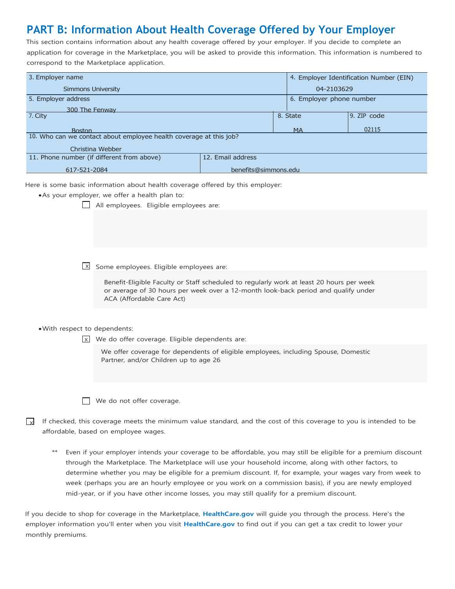# **PART B: Information About Health Coverage Offered by Your Employer**

This section contains information about any health coverage offered by your employer. If you decide to complete an application for coverage in the Marketplace, you will be asked to provide this information. This information is numbered to correspond to the Marketplace application.

| 3. Employer name                                                   |                      | 4. Employer Identification Number (EIN) |                          |             |  |  |
|--------------------------------------------------------------------|----------------------|-----------------------------------------|--------------------------|-------------|--|--|
| Simmons University                                                 |                      | 04-2103629                              |                          |             |  |  |
| 5. Employer address                                                |                      |                                         | 6. Employer phone number |             |  |  |
| 300 The Fenway                                                     |                      |                                         |                          |             |  |  |
| 7. City                                                            |                      | 8. State                                |                          | 9. ZIP code |  |  |
| <b>Boston</b>                                                      |                      |                                         | <b>MA</b>                | 02115       |  |  |
| 10. Who can we contact about employee health coverage at this job? |                      |                                         |                          |             |  |  |
| Christina Webber                                                   |                      |                                         |                          |             |  |  |
| 11. Phone number (if different from above)                         | 12. Email address    |                                         |                          |             |  |  |
| 617-521-2084                                                       | benefits@simmons.edu |                                         |                          |             |  |  |

Here is some basic information about health coverage offered by this employer:

•As your employer, we offer a health plan to:

All employees. Eligible employees are:

 $\times$  Some employees. Eligible employees are:

Benefit-Eligible Faculty or Staff scheduled to regularly work at least 20 hours per week or average of 30 hours per week over a 12-month look-back period and qualify under ACA (Affordable Care Act)

#### •With respect to dependents:

 $x$  We do offer coverage. Eligible dependents are:

We offer coverage for dependents of eligible employees, including Spouse, Domestic Partner, and/or Children up to age 26

|  |  |  |  |  | We do not offer coverage. |
|--|--|--|--|--|---------------------------|
|--|--|--|--|--|---------------------------|

If checked, this coverage meets the minimum value standard, and the cost of this coverage to you is intended to be affordable, based on employee wages.

\*\* Even if your employer intends your coverage to be affordable, you may still be eligible for a premium discount through the Marketplace. The Marketplace will use your household income, along with other factors, to determine whether you may be eligible for a premium discount. If, for example, your wages vary from week to week (perhaps you are an hourly employee or you work on a commission basis), if you are newly employed mid-year, or if you have other income losses, you may still qualify for a premium discount.

If you decide to shop for coverage in the Marketplace, **[HealthCare.gov](http://www.healthcare.gov/)** will guide you through the process. Here's the employer information you'll enter when you visit **[HealthCare.gov](http://www.healthcare.gov/)** to find out if you can get a tax credit to lower your monthly premiums.